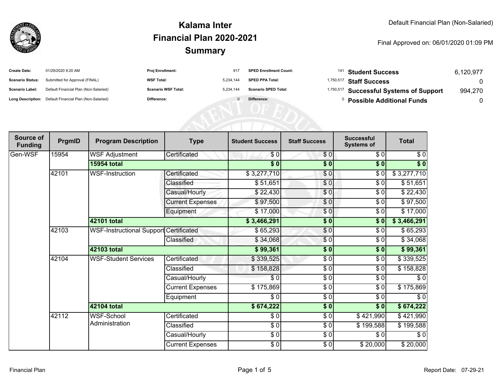

| <b>Create Date:</b>     | 01/29/2020 9:20 AM                                      | Proj Enrollment:           | 917       | <b>SPED Enrollment Count:</b> |           | <sup>141</sup> Student Success          | 6,120,977 |
|-------------------------|---------------------------------------------------------|----------------------------|-----------|-------------------------------|-----------|-----------------------------------------|-----------|
| <b>Scenario Status:</b> | Submitted for Approval (FINAL)                          | <b>WSF Total:</b>          | 5,234,144 | <b>SPED PPA Total:</b>        | 1,750,517 | <b>Staff Success</b>                    |           |
| <b>Scenario Label:</b>  | Default Financial Plan (Non-Salaried)                   | <b>Scenario WSF Total:</b> | 5,234,144 | <b>Scenario SPED Total:</b>   |           | 1,750,517 Successful Systems of Support | 994,270   |
|                         | Long Description: Default Financial Plan (Non-Salaried) | Difference:                |           | Difference:                   |           | <b>Possible Additional Funds</b>        |           |
|                         |                                                         |                            |           |                               |           |                                         |           |
|                         |                                                         |                            |           |                               |           |                                         |           |
|                         |                                                         |                            |           |                               |           |                                         |           |

| Source of<br><b>Funding</b> | PrgmID | <b>Program Description</b>             | <b>Type</b>             | <b>Student Success</b> | <b>Staff Success</b>     | <b>Successful</b><br><b>Systems of</b> | <b>Total</b> |
|-----------------------------|--------|----------------------------------------|-------------------------|------------------------|--------------------------|----------------------------------------|--------------|
| Gen-WSF                     | 15954  | <b>WSF Adjustment</b>                  | Certificated            | \$0                    | \$0                      | \$0                                    | \$0          |
|                             |        | <b>15954 total</b>                     |                         | $\overline{\$0}$       | \$0                      | \$0                                    | $\sqrt[6]{}$ |
|                             | 42101  | <b>WSF-Instruction</b>                 | Certificated            | \$3,277,710            | \$0                      | \$0                                    | \$3,277,710  |
|                             |        |                                        | Classified              | \$51,651               | \$0                      | \$0                                    | \$51,651     |
|                             |        |                                        | Casual/Hourly           | \$22,430               | \$0                      | \$0                                    | \$22,430     |
|                             |        |                                        | <b>Current Expenses</b> | \$97,500               | \$0                      | \$0                                    | \$97,500     |
|                             |        |                                        | Equipment               | \$17,000               | \$0                      | \$0                                    | \$17,000     |
|                             |        | 42101 total                            |                         | \$3,466,291            | $\frac{1}{2}$            | \$0                                    | \$3,466,291  |
|                             | 42103  | WSF-Instructional Support Certificated |                         | \$65,293               | \$0                      | \$0                                    | \$65,293     |
|                             |        |                                        | Classified              | \$34,068               | \$0                      | \$0                                    | \$34,068     |
|                             |        | 42103 total                            |                         | \$99,361               | \$0                      | \$0                                    | \$99,361     |
|                             | 42104  | <b>WSF-Student Services</b>            | Certificated            | \$339,525              | $\sqrt{6}$               | \$0                                    | \$339,525    |
|                             |        |                                        | Classified              | \$158,828              | $\frac{6}{6}$            | \$0                                    | \$158,828    |
|                             |        |                                        | Casual/Hourly           | \$0                    | $\overline{\frac{1}{6}}$ | \$0                                    | \$0          |
|                             |        |                                        | <b>Current Expenses</b> | \$175,869              | \$0                      | \$0                                    | \$175,869    |
|                             |        |                                        | Equipment               | \$0                    | $\sqrt{6}$               | $\sqrt{6}$                             | \$0          |
|                             |        | 42104 total                            |                         | \$674,222              | $\frac{1}{2}$            | $\sqrt{6}$                             | \$674,222    |
|                             | 42112  | WSF-School                             | Certificated            | \$0                    | $\sqrt{6}$               | \$421,990                              | \$421,990    |
|                             |        | Administration                         | Classified              | $\sqrt{6}$             | \$0                      | \$199,588                              | \$199,588    |
|                             |        |                                        | Casual/Hourly           | \$0                    | \$0                      | \$0                                    | \$0          |
|                             |        |                                        | <b>Current Expenses</b> | $\frac{6}{6}$          | $\frac{6}{6}$            | \$20,000                               | \$20,000     |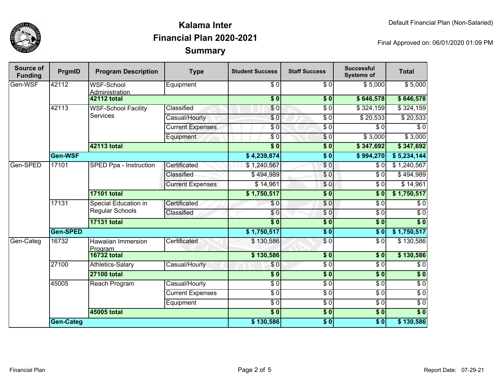

| Source of<br><b>Funding</b> | PrgmID    | <b>Program Description</b>                     | <b>Type</b>             | <b>Student Success</b> | <b>Staff Success</b>   | <b>Successful</b><br><b>Systems of</b> | <b>Total</b>     |
|-----------------------------|-----------|------------------------------------------------|-------------------------|------------------------|------------------------|----------------------------------------|------------------|
| Gen-WSF                     | 42112     | WSF-School<br>Administration                   | Equipment               | $\sqrt{6}$             | $\sqrt{6}$             | \$5,000                                | \$5,000          |
|                             |           | <b>42112 total</b>                             |                         | $\overline{\$0}$       | $\overline{\$0}$       | \$646,578                              | \$646,578        |
|                             | 42113     | <b>WSF-School Facility</b><br><b>Services</b>  | Classified              | $\sqrt{6}$             | $\overline{\$0}$       | \$324,159                              | \$324,159        |
|                             |           |                                                | Casual/Hourly           | \$0                    | $\overline{\$0}$       | \$20,533                               | \$20,533         |
|                             |           |                                                | <b>Current Expenses</b> | \$0                    | $\overline{\$0}$       | \$0                                    | \$0              |
|                             |           |                                                | Equipment               | $\overline{\$0}$       | $\overline{\$0}$       | \$3,000                                | \$3,000          |
|                             |           | 42113 total                                    |                         | $\overline{\$0}$       | \$0                    | \$347,692                              | \$347,692        |
|                             | Gen-WSF   |                                                |                         | \$4,239,874            | $\overline{\$0}$       | \$994,270                              | \$5,234,144      |
| Gen-SPED                    | 17101     | SPED Ppa - Instruction                         | Certificated            | \$1,240,567            | $\overline{\$0}$       | \$0                                    | \$1,240,567      |
|                             |           |                                                | Classified              | \$494,989              | \$0                    | \$0                                    | \$494,989        |
|                             |           |                                                | <b>Current Expenses</b> | \$14,961               | \$0                    | $\overline{\$0}$                       | \$14,961         |
|                             |           | <b>17101 total</b>                             |                         | \$1,750,517            | $\overline{\$0}$       | $\overline{\$}0$                       | \$1,750,517      |
|                             | 17131     | <b>Special Education in</b><br>Regular Schools | Certificated            | \$0                    | $\overline{60}$        | $\overline{\$0}$                       | $\overline{\$0}$ |
|                             |           |                                                | Classified              | $\sqrt{6}$             | $\sqrt{0}$             | $\overline{\$0}$                       | $\overline{\$0}$ |
|                             |           | <b>17131 total</b>                             |                         | $\overline{\bullet}$ 0 | $\sqrt{6}$             | 30                                     | $\overline{\$0}$ |
|                             | Gen-SPED  |                                                |                         | \$1,750,517            | $\overline{\$0}$       | $\overline{\$0}$                       | \$1,750,517      |
| Gen-Categ                   | 16732     | <b>Hawaiian Immersion</b><br>Program           | Certificated            | \$130,586              | $\overline{S}0$        | $\overline{\$0}$                       | \$130,586        |
|                             |           | <b>16732 total</b>                             |                         | \$130,586              | $\overline{\bullet}$ 0 | \$0                                    | \$130,586        |
|                             | 27100     | Athletics-Salary                               | Casual/Hourly           | \$0                    | $\overline{S}0$        | $\sqrt{6}$                             | $\sqrt{6}$       |
|                             |           | <b>27100 total</b>                             |                         | $\overline{\$0}$       | \$0                    | $\overline{\$0}$                       | \$0              |
|                             | 45005     | Reach Program                                  | Casual/Hourly           | $\sqrt{6}$             | $\sqrt{6}$             | $\sqrt{6}$                             | $\sqrt{6}$       |
|                             |           |                                                | <b>Current Expenses</b> | \$0                    | $\sqrt{6}$             | $\sqrt{6}$                             | $\sqrt{6}$       |
|                             |           |                                                | Equipment               | $\overline{30}$        | $\sqrt{6}$             | $\sqrt{6}$                             | $\sqrt{6}$       |
|                             |           | <b>45005 total</b>                             |                         | $\overline{\$0}$       | $\sqrt{6}$             | $\overline{\$0}$                       | $\overline{\$0}$ |
|                             | Gen-Categ |                                                |                         | \$130,586              | \$0                    | \$0                                    | \$130,586        |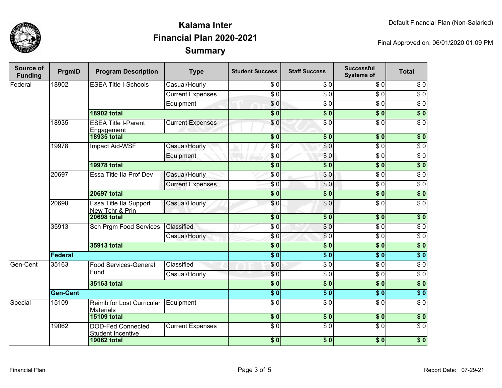

| <b>Source of</b><br><b>Funding</b> | PrgmID          | <b>Program Description</b>                           | <b>Type</b>                  | <b>Student Success</b>    | <b>Staff Success</b> | <b>Successful</b><br><b>Systems of</b> | <b>Total</b>     |                  |
|------------------------------------|-----------------|------------------------------------------------------|------------------------------|---------------------------|----------------------|----------------------------------------|------------------|------------------|
| Federal                            | 18902           | <b>ESEA Title I-Schools</b>                          | Casual/Hourly                | \$0                       | \$0                  | \$0                                    | \$0              |                  |
|                                    |                 |                                                      | <b>Current Expenses</b>      | $\overline{\$0}$          | $\overline{\$0}$     | $\overline{\$0}$                       | $\overline{\$0}$ |                  |
|                                    |                 |                                                      | Equipment                    | $\overline{\$0}$          | $\overline{\$0}$     | $\overline{\$0}$                       | $\overline{\$0}$ |                  |
|                                    |                 | <b>18902 total</b>                                   |                              | $\overline{\bullet}$ 0    | $\overline{\$0}$     | $\overline{\$0}$                       | $\overline{\$0}$ |                  |
|                                    | 18935           | <b>ESEA Title I-Parent</b><br>Engagement             | <b>Current Expenses</b>      | \$0                       | $\overline{\$0}$     | $\overline{\$0}$                       | $\overline{\$0}$ |                  |
|                                    |                 | <b>18935 total</b>                                   |                              | $\overline{\textbf{S}^0}$ | $\overline{\$0}$     | $\overline{\textbf{50}}$               | $\overline{\$}0$ |                  |
|                                    | 19978           | <b>Impact Aid-WSF</b>                                | Casual/Hourly                | $\overline{\$0}$          | \$0                  | $\overline{\$0}$                       | $\overline{\$0}$ |                  |
|                                    |                 |                                                      | Equipment                    | \$0                       | \$0                  | $\overline{\$0}$                       | $\overline{\$0}$ |                  |
|                                    |                 | <b>19978 total</b>                                   |                              | $\overline{\$0}$          | $\overline{\$0}$     | $\overline{\$0}$                       | $\overline{\$}0$ |                  |
|                                    | 20697           | Essa Title IIa Prof Dev                              | Casual/Hourly                | \$0                       | $\overline{\$0}$     | $\overline{\$0}$                       | $\overline{\$0}$ |                  |
|                                    |                 |                                                      | <b>Current Expenses</b>      | $\overline{S}0$           | \$0                  | $\overline{\$0}$                       | $\overline{\$0}$ |                  |
|                                    |                 | <b>20697 total</b>                                   |                              | $\overline{\textbf{S}^0}$ | $\overline{\$0}$     | $\overline{\$}0$                       | $\overline{\$}0$ |                  |
|                                    | 20698           | <b>Essa Title IIa Support</b><br>New Tchr & Prin     | Casual/Hourly                | \$0                       | $\overline{\$0}$     | $\overline{\$0}$                       | $\overline{\$0}$ |                  |
|                                    |                 | <b>20698 total</b>                                   |                              | $\overline{\$0}$          | $\overline{\$0}$     | $\overline{\$0}$                       | $\overline{\$0}$ |                  |
|                                    | 35913           | Sch Prgm Food Services                               | Classified                   | $\overline{\$0}$          | $\overline{\$0}$     | $\overline{\$0}$                       | $\overline{\$0}$ |                  |
|                                    |                 |                                                      | Casual/Hourly                | \$0                       | \$0                  | $\overline{\$0}$                       | $\overline{30}$  |                  |
|                                    |                 | <b>35913 total</b>                                   |                              | $\overline{\$0}$          | $\overline{\$0}$     | $\overline{\$0}$                       | $\overline{\$}0$ |                  |
|                                    | Federal         |                                                      |                              | $\overline{\$0}$          | $\overline{\$0}$     | $\overline{\$0}$                       | $\overline{\$0}$ |                  |
| Gen-Cent                           | 35163           |                                                      | <b>Food Services-General</b> | Classified                | \$0                  | $\sqrt{6}$                             | $\overline{\$0}$ | $\overline{\$0}$ |
|                                    |                 | Fund                                                 | Casual/Hourly                | $\sqrt{6}$                | $\sqrt{6}$           | $\overline{\$0}$                       | $\overline{\$0}$ |                  |
|                                    |                 | 35163 total                                          |                              | $\overline{\$0}$          | $\overline{\$0}$     | $\overline{\$0}$                       | $\overline{\$0}$ |                  |
|                                    | <b>Gen-Cent</b> |                                                      |                              | $\overline{\$0}$          | $\overline{\$0}$     | $\overline{\$0}$                       | $\overline{\$}0$ |                  |
| Special                            | 15109           | Reimb for Lost Curricular<br><b>Materials</b>        | Equipment                    | $\overline{\$0}$          | $\overline{\$0}$     | $\overline{\$0}$                       | $\overline{30}$  |                  |
|                                    |                 | <b>15109 total</b>                                   |                              | $\overline{\$0}$          | $\overline{\$0}$     | $\overline{\$0}$                       | $\overline{\$0}$ |                  |
|                                    | 19062           | <b>DOD-Fed Connected</b><br><b>Student Incentive</b> | <b>Current Expenses</b>      | $\overline{S}0$           | $\overline{\$0}$     | $\overline{S}0$                        | $\overline{\$0}$ |                  |
|                                    |                 | <b>19062 total</b>                                   |                              | $\overline{\$0}$          | \$0                  | $\sqrt{6}$                             | $\overline{\$0}$ |                  |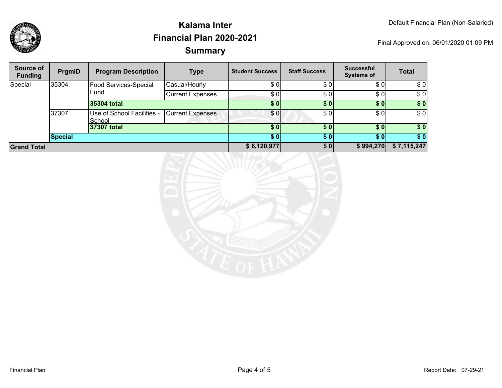

| Source of<br><b>Funding</b> | PrgmID         | <b>Program Description</b>           | <b>Type</b>             | <b>Student Success</b> | <b>Staff Success</b> | <b>Successful</b><br><b>Systems of</b> | <b>Total</b> |
|-----------------------------|----------------|--------------------------------------|-------------------------|------------------------|----------------------|----------------------------------------|--------------|
| Special                     | 35304          | Food Services-Special                | Casual/Hourly           | \$0                    | \$0                  | \$0                                    | \$0          |
|                             |                | Fund                                 | <b>Current Expenses</b> | \$0]                   | \$0                  | \$0                                    | \$0          |
|                             |                | 35304 total                          |                         | \$0                    | \$0                  | \$0]                                   | \$0          |
|                             | 37307          | Use of School Facilities -<br>School | <b>Current Expenses</b> | \$01                   | \$0                  | \$0                                    | \$0          |
|                             |                | 37307 total                          |                         | \$01                   | \$0                  | \$0 <sub>1</sub>                       | \$0          |
|                             | <b>Special</b> |                                      |                         | \$01                   | <b>SO</b>            | \$0                                    | \$0          |
| <b>Grand Total</b>          |                |                                      |                         | \$6,120,977            | \$0                  | \$994,270                              | \$7,115,247  |